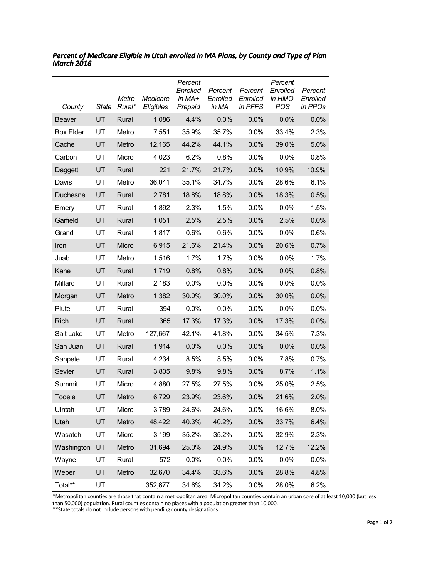| County           | <b>State</b> | Metro<br>Rural* | Medicare<br>Eligibles | Percent<br>Enrolled<br>in MA+<br>Prepaid | Percent<br>Enrolled<br>in MA | Percent<br>Enrolled<br>in PFFS | Percent<br>Enrolled<br>in HMO<br><b>POS</b> | Percent<br>Enrolled<br>in PPOs |
|------------------|--------------|-----------------|-----------------------|------------------------------------------|------------------------------|--------------------------------|---------------------------------------------|--------------------------------|
| Beaver           | UT           | Rural           | 1,086                 | 4.4%                                     | 0.0%                         | 0.0%                           | 0.0%                                        | 0.0%                           |
| <b>Box Elder</b> | UT           | Metro           | 7,551                 | 35.9%                                    | 35.7%                        | 0.0%                           | 33.4%                                       | 2.3%                           |
| Cache            | UT           | Metro           | 12,165                | 44.2%                                    | 44.1%                        | 0.0%                           | 39.0%                                       | 5.0%                           |
| Carbon           | UT           | Micro           | 4,023                 | 6.2%                                     | 0.8%                         | 0.0%                           | 0.0%                                        | 0.8%                           |
| Daggett          | UT           | Rural           | 221                   | 21.7%                                    | 21.7%                        | 0.0%                           | 10.9%                                       | 10.9%                          |
| Davis            | UT           | Metro           | 36,041                | 35.1%                                    | 34.7%                        | 0.0%                           | 28.6%                                       | 6.1%                           |
| Duchesne         | UT           | Rural           | 2,781                 | 18.8%                                    | 18.8%                        | 0.0%                           | 18.3%                                       | 0.5%                           |
| Emery            | UT           | Rural           | 1,892                 | 2.3%                                     | 1.5%                         | 0.0%                           | 0.0%                                        | 1.5%                           |
| Garfield         | UT           | Rural           | 1,051                 | 2.5%                                     | 2.5%                         | 0.0%                           | 2.5%                                        | 0.0%                           |
| Grand            | UT           | Rural           | 1,817                 | 0.6%                                     | 0.6%                         | 0.0%                           | 0.0%                                        | 0.6%                           |
| Iron             | UT           | Micro           | 6,915                 | 21.6%                                    | 21.4%                        | 0.0%                           | 20.6%                                       | 0.7%                           |
| Juab             | UT           | Metro           | 1,516                 | 1.7%                                     | 1.7%                         | 0.0%                           | 0.0%                                        | 1.7%                           |
| Kane             | UT           | Rural           | 1,719                 | 0.8%                                     | 0.8%                         | 0.0%                           | 0.0%                                        | 0.8%                           |
| Millard          | UT           | Rural           | 2,183                 | 0.0%                                     | 0.0%                         | 0.0%                           | 0.0%                                        | 0.0%                           |
| Morgan           | UT           | Metro           | 1,382                 | 30.0%                                    | 30.0%                        | 0.0%                           | 30.0%                                       | 0.0%                           |
| Piute            | UT           | Rural           | 394                   | $0.0\%$                                  | 0.0%                         | 0.0%                           | 0.0%                                        | $0.0\%$                        |
| Rich             | UT           | Rural           | 365                   | 17.3%                                    | 17.3%                        | 0.0%                           | 17.3%                                       | 0.0%                           |
| Salt Lake        | UT           | Metro           | 127,667               | 42.1%                                    | 41.8%                        | 0.0%                           | 34.5%                                       | 7.3%                           |
| San Juan         | UT           | Rural           | 1,914                 | 0.0%                                     | 0.0%                         | 0.0%                           | 0.0%                                        | 0.0%                           |
| Sanpete          | UT           | Rural           | 4,234                 | 8.5%                                     | 8.5%                         | 0.0%                           | 7.8%                                        | 0.7%                           |
| Sevier           | UT           | Rural           | 3,805                 | 9.8%                                     | 9.8%                         | 0.0%                           | 8.7%                                        | 1.1%                           |
| Summit           | UT           | Micro           | 4,880                 | 27.5%                                    | 27.5%                        | 0.0%                           | 25.0%                                       | 2.5%                           |
| Tooele           | UT           | Metro           | 6,729                 | 23.9%                                    | 23.6%                        | 0.0%                           | 21.6%                                       | 2.0%                           |
| Uintah           | UT           | Micro           | 3,789                 | 24.6%                                    | 24.6%                        | 0.0%                           | 16.6%                                       | 8.0%                           |
| Utah             | UT           | Metro           | 48,422                | 40.3%                                    | 40.2%                        | 0.0%                           | 33.7%                                       | 6.4%                           |
| Wasatch          | UT           | Micro           | 3,199                 | 35.2%                                    | 35.2%                        | 0.0%                           | 32.9%                                       | 2.3%                           |
| Washington       | UT           | Metro           | 31,694                | 25.0%                                    | 24.9%                        | 0.0%                           | 12.7%                                       | 12.2%                          |
| Wayne            | UT           | Rural           | 572                   | 0.0%                                     | 0.0%                         | 0.0%                           | 0.0%                                        | 0.0%                           |
| Weber            | UT           | Metro           | 32,670                | 34.4%                                    | 33.6%                        | 0.0%                           | 28.8%                                       | 4.8%                           |
| Total**          | UT           |                 | 352,677               | 34.6%                                    | 34.2%                        | 0.0%                           | 28.0%                                       | 6.2%                           |

*Percent of Medicare Eligible in Utah enrolled in MA Plans, by County and Type of Plan March 2016*

\*Metropolitan counties are those that contain a metropolitan area. Micropolitan counties contain an urban core of at least 10,000 (but less

than 50,000) population. Rural counties contain no places with a population greater than 10,000. \*\*State totals do not include persons with pending county designations